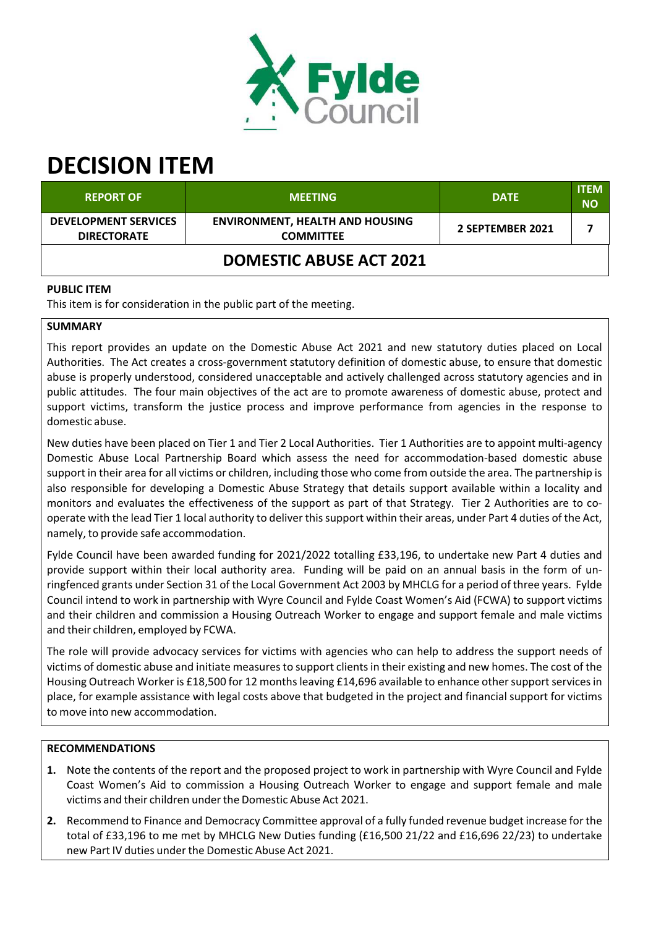

# **DECISION ITEM**

| <b>REPORT OF</b>                                  | <b>MEETING</b>                                             | <b>DATE</b>      | <b>ITEM</b><br><b>NO</b> |  |  |
|---------------------------------------------------|------------------------------------------------------------|------------------|--------------------------|--|--|
| <b>DEVELOPMENT SERVICES</b><br><b>DIRECTORATE</b> | <b>ENVIRONMENT, HEALTH AND HOUSING</b><br><b>COMMITTEE</b> | 2 SEPTEMBER 2021 |                          |  |  |
| <b>DOMESTIC ABUSE ACT 2021</b>                    |                                                            |                  |                          |  |  |

## **PUBLIC ITEM**

This item is for consideration in the public part of the meeting.

## **SUMMARY**

This report provides an update on the Domestic Abuse Act 2021 and new statutory duties placed on Local Authorities. The Act creates a cross‐government statutory definition of domestic abuse, to ensure that domestic abuse is properly understood, considered unacceptable and actively challenged across statutory agencies and in public attitudes. The four main objectives of the act are to promote awareness of domestic abuse, protect and support victims, transform the justice process and improve performance from agencies in the response to domestic abuse.

New duties have been placed on Tier 1 and Tier 2 Local Authorities. Tier 1 Authorities are to appoint multi‐agency Domestic Abuse Local Partnership Board which assess the need for accommodation‐based domestic abuse support in their area for all victims or children, including those who come from outside the area. The partnership is also responsible for developing a Domestic Abuse Strategy that details support available within a locality and monitors and evaluates the effectiveness of the support as part of that Strategy. Tier 2 Authorities are to co‐ operate with the lead Tier 1 local authority to deliver thissupport within their areas, under Part 4 duties of the Act, namely, to provide safe accommodation.

Fylde Council have been awarded funding for 2021/2022 totalling £33,196, to undertake new Part 4 duties and provide support within their local authority area. Funding will be paid on an annual basis in the form of un‐ ringfenced grants under Section 31 of the Local Government Act 2003 by MHCLG for a period of three years. Fylde Council intend to work in partnership with Wyre Council and Fylde Coast Women's Aid (FCWA) to support victims and their children and commission a Housing Outreach Worker to engage and support female and male victims and their children, employed by FCWA.

The role will provide advocacy services for victims with agencies who can help to address the support needs of victims of domestic abuse and initiate measures to support clients in their existing and new homes. The cost of the Housing Outreach Worker is £18,500 for 12 months leaving £14,696 available to enhance other support services in place, for example assistance with legal costs above that budgeted in the project and financial support for victims to move into new accommodation.

#### **RECOMMENDATIONS**

- **1.** Note the contents of the report and the proposed project to work in partnership with Wyre Council and Fylde Coast Women's Aid to commission a Housing Outreach Worker to engage and support female and male victims and their children underthe Domestic Abuse Act 2021.
- **2.** Recommend to Finance and Democracy Committee approval of a fully funded revenue budget increase for the total of £33,196 to me met by MHCLG New Duties funding (£16,500 21/22 and £16,696 22/23) to undertake new Part IV duties underthe Domestic Abuse Act 2021.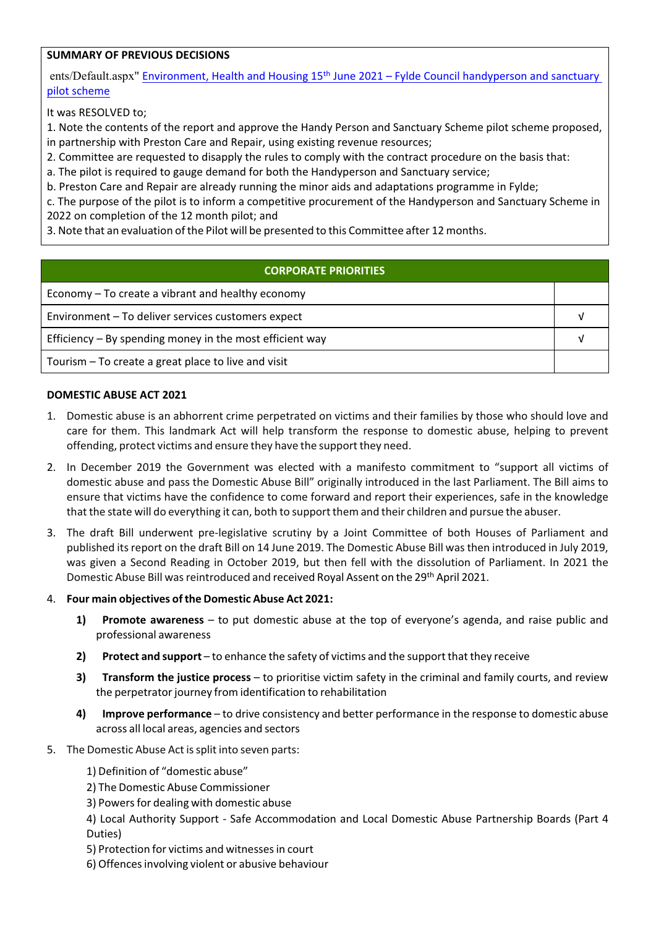## **SUMMARY OF PREVIOUS DECISIONS**

ents/Default.aspx" Environment, Health and Housing 15<sup>th</sup> June 2021 – Fylde Council handyperson and sanctuary pilot scheme

It was RESOLVED to;

1. Note the contents of the report and approve the Handy Person and Sanctuary Scheme pilot scheme proposed, in partnership with Preston Care and Repair, using existing revenue resources;

2. Committee are requested to disapply the rules to comply with the contract procedure on the basis that:

a. The pilot is required to gauge demand for both the Handyperson and Sanctuary service;

b. Preston Care and Repair are already running the minor aids and adaptations programme in Fylde;

c. The purpose of the pilot is to inform a competitive procurement of the Handyperson and Sanctuary Scheme in 2022 on completion of the 12 month pilot; and

3. Note that an evaluation of the Pilot will be presented to this Committee after 12 months.

## **CORPORATE PRIORITIES**

| Economy – To create a vibrant and healthy economy          |  |
|------------------------------------------------------------|--|
| Environment - To deliver services customers expect         |  |
| Efficiency $-$ By spending money in the most efficient way |  |
| Tourism – To create a great place to live and visit        |  |

#### **DOMESTIC ABUSE ACT 2021**

- 1. Domestic abuse is an abhorrent crime perpetrated on victims and their families by those who should love and care for them. This landmark Act will help transform the response to domestic abuse, helping to prevent offending, protect victims and ensure they have the support they need.
- 2. In December 2019 the Government was elected with a manifesto commitment to "support all victims of domestic abuse and pass the Domestic Abuse Bill" originally introduced in the last Parliament. The Bill aims to ensure that victims have the confidence to come forward and report their experiences, safe in the knowledge that the state will do everything it can, both to support them and their children and pursue the abuser.
- 3. The draft Bill underwent pre‐legislative scrutiny by a Joint Committee of both Houses of Parliament and published its report on the draft Bill on 14 June 2019. The Domestic Abuse Bill was then introduced in July 2019, was given a Second Reading in October 2019, but then fell with the dissolution of Parliament. In 2021 the Domestic Abuse Bill was reintroduced and received Royal Assent on the 29<sup>th</sup> April 2021.
- 4. **Four main objectives ofthe Domestic Abuse Act 2021:**
	- **1) Promote awareness** to put domestic abuse at the top of everyone's agenda, and raise public and professional awareness
	- **2) Protect and support** to enhance the safety of victims and the support that they receive
	- **3) Transform the justice process** to prioritise victim safety in the criminal and family courts, and review the perpetrator journey from identification to rehabilitation
	- **4) Improve performance** to drive consistency and better performance in the response to domestic abuse across all local areas, agencies and sectors
- 5. The Domestic Abuse Act is split into seven parts:
	- 1) Definition of "domestic abuse"
	- 2) The Domestic Abuse Commissioner
	- 3) Powers for dealing with domestic abuse
	- 4) Local Authority Support ‐ Safe Accommodation and Local Domestic Abuse Partnership Boards (Part 4 Duties)
	- 5) Protection for victims and witnessesin court
	- 6) Offencesinvolving violent or abusive behaviour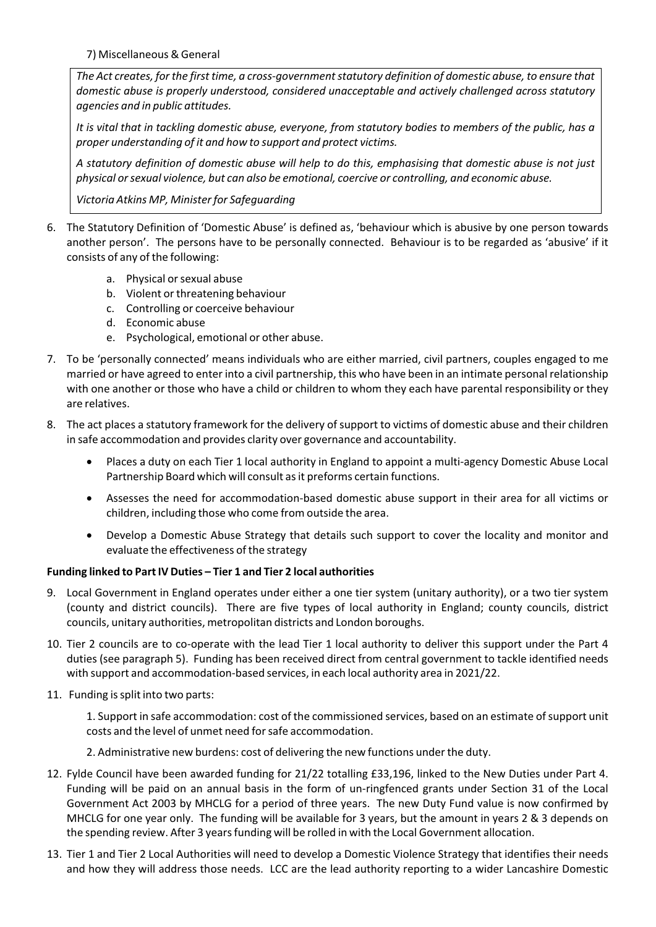7) Miscellaneous & General

*The Act creates, for the first time, a cross‐governmentstatutory definition of domestic abuse, to ensure that domestic abuse is properly understood, considered unacceptable and actively challenged across statutory agencies and in public attitudes.*

It is vital that in tackling domestic abuse, everyone, from statutory bodies to members of the public, has a *proper understanding of it and how to support and protect victims.*

A statutory definition of domestic abuse will help to do this, emphasising that domestic abuse is not just *physical orsexual violence, but can also be emotional, coercive or controlling, and economic abuse.*

*Victoria Atkins MP, Ministerfor Safeguarding*

- 6. The Statutory Definition of 'Domestic Abuse' is defined as, 'behaviour which is abusive by one person towards another person'. The persons have to be personally connected. Behaviour is to be regarded as 'abusive' if it consists of any of the following:
	- a. Physical orsexual abuse
	- b. Violent or threatening behaviour
	- c. Controlling or coerceive behaviour
	- d. Economic abuse
	- e. Psychological, emotional or other abuse.
- 7. To be 'personally connected' means individuals who are either married, civil partners, couples engaged to me married or have agreed to enter into a civil partnership, this who have been in an intimate personal relationship with one another or those who have a child or children to whom they each have parental responsibility or they are relatives.
- 8. The act places a statutory framework for the delivery of support to victims of domestic abuse and their children in safe accommodation and provides clarity over governance and accountability.
	- Places a duty on each Tier 1 local authority in England to appoint a multi‐agency Domestic Abuse Local Partnership Board which will consult as it preforms certain functions.
	- Assesses the need for accommodation‐based domestic abuse support in their area for all victims or children, including those who come from outside the area.
	- Develop a Domestic Abuse Strategy that details such support to cover the locality and monitor and evaluate the effectiveness of the strategy

#### **Funding linked to PartIV Duties – Tier 1 and Tier 2 local authorities**

- 9. Local Government in England operates under either a one tier system (unitary authority), or a two tier system (county and district councils). There are five types of local authority in England; county councils, district councils, unitary authorities, metropolitan districts and London boroughs.
- 10. Tier 2 councils are to co-operate with the lead Tier 1 local authority to deliver this support under the Part 4 duties (see paragraph 5). Funding has been received direct from central government to tackle identified needs with support and accommodation-based services, in each local authority area in 2021/22.
- 11. Funding issplit into two parts:

1. Support in safe accommodation: cost of the commissioned services, based on an estimate ofsupport unit costs and the level of unmet need forsafe accommodation.

- 2. Administrative new burdens: cost of delivering the new functions under the duty.
- 12. Fylde Council have been awarded funding for 21/22 totalling £33,196, linked to the New Duties under Part 4. Funding will be paid on an annual basis in the form of un-ringfenced grants under Section 31 of the Local Government Act 2003 by MHCLG for a period of three years. The new Duty Fund value is now confirmed by MHCLG for one year only. The funding will be available for 3 years, but the amount in years 2 & 3 depends on the spending review. After 3 years funding will be rolled in with the Local Government allocation.
- 13. Tier 1 and Tier 2 Local Authorities will need to develop a Domestic Violence Strategy that identifies their needs and how they will address those needs. LCC are the lead authority reporting to a wider Lancashire Domestic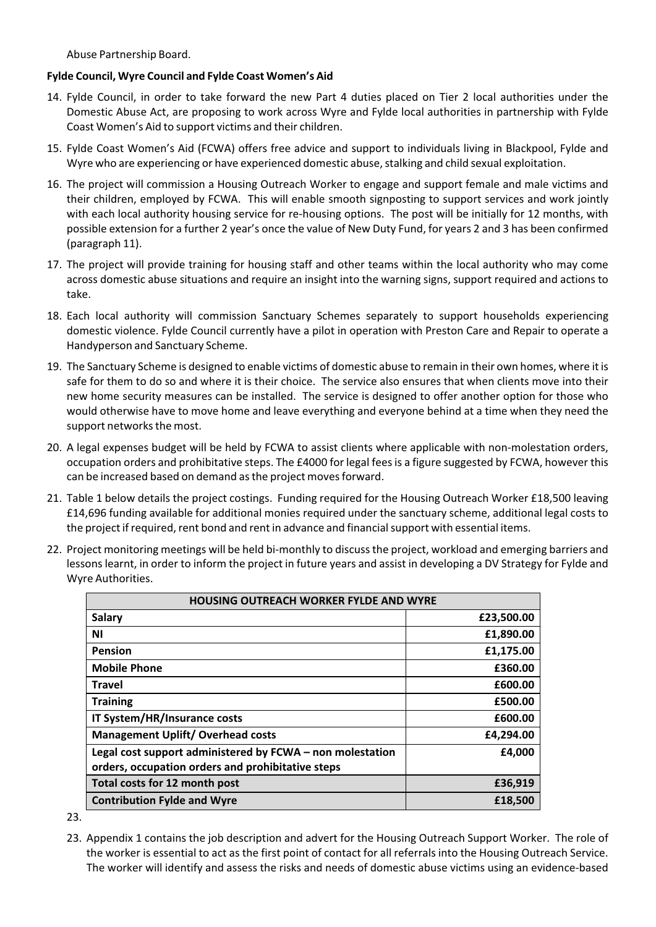Abuse Partnership Board.

### **Fylde Council, Wyre Council and Fylde Coast Women's Aid**

- 14. Fylde Council, in order to take forward the new Part 4 duties placed on Tier 2 local authorities under the Domestic Abuse Act, are proposing to work across Wyre and Fylde local authorities in partnership with Fylde Coast Women's Aid to support victims and their children.
- 15. Fylde Coast Women's Aid (FCWA) offers free advice and support to individuals living in Blackpool, Fylde and Wyre who are experiencing or have experienced domestic abuse, stalking and child sexual exploitation.
- 16. The project will commission a Housing Outreach Worker to engage and support female and male victims and their children, employed by FCWA. This will enable smooth signposting to support services and work jointly with each local authority housing service for re-housing options. The post will be initially for 12 months, with possible extension for a further 2 year's once the value of New Duty Fund, for years 2 and 3 has been confirmed (paragraph 11).
- 17. The project will provide training for housing staff and other teams within the local authority who may come across domestic abuse situations and require an insight into the warning signs, support required and actions to take.
- 18. Each local authority will commission Sanctuary Schemes separately to support households experiencing domestic violence. Fylde Council currently have a pilot in operation with Preston Care and Repair to operate a Handyperson and Sanctuary Scheme.
- 19. The Sanctuary Scheme is designed to enable victims of domestic abuse to remain in their own homes, where it is safe for them to do so and where it is their choice. The service also ensures that when clients move into their new home security measures can be installed. The service is designed to offer another option for those who would otherwise have to move home and leave everything and everyone behind at a time when they need the support networks the most.
- 20. A legal expenses budget will be held by FCWA to assist clients where applicable with non-molestation orders, occupation orders and prohibitative steps. The £4000 for legal feesis a figure suggested by FCWA, however this can be increased based on demand as the project moves forward.
- 21. Table 1 below details the project costings. Funding required for the Housing Outreach Worker £18,500 leaving £14,696 funding available for additional monies required under the sanctuary scheme, additional legal costs to the project if required, rent bond and rent in advance and financial support with essential items.
- 22. Project monitoring meetings will be held bi-monthly to discuss the project, workload and emerging barriers and lessons learnt, in order to inform the project in future years and assist in developing a DV Strategy for Fylde and Wyre Authorities.

| <b>HOUSING OUTREACH WORKER FYLDE AND WYRE</b>             |            |  |
|-----------------------------------------------------------|------------|--|
| <b>Salary</b>                                             | £23,500.00 |  |
| ΝI                                                        | £1,890.00  |  |
| <b>Pension</b>                                            | £1,175.00  |  |
| <b>Mobile Phone</b>                                       | £360.00    |  |
| Travel                                                    | £600.00    |  |
| <b>Training</b>                                           | £500.00    |  |
| IT System/HR/Insurance costs                              | £600.00    |  |
| <b>Management Uplift/ Overhead costs</b>                  | £4,294.00  |  |
| Legal cost support administered by FCWA - non molestation | £4,000     |  |
| orders, occupation orders and prohibitative steps         |            |  |
| Total costs for 12 month post                             | £36,919    |  |
| <b>Contribution Fylde and Wyre</b>                        | £18,500    |  |

23.

23. Appendix 1 contains the job description and advert for the Housing Outreach Support Worker. The role of the worker is essential to act as the first point of contact for all referrals into the Housing Outreach Service. The worker will identify and assess the risks and needs of domestic abuse victims using an evidence‐based